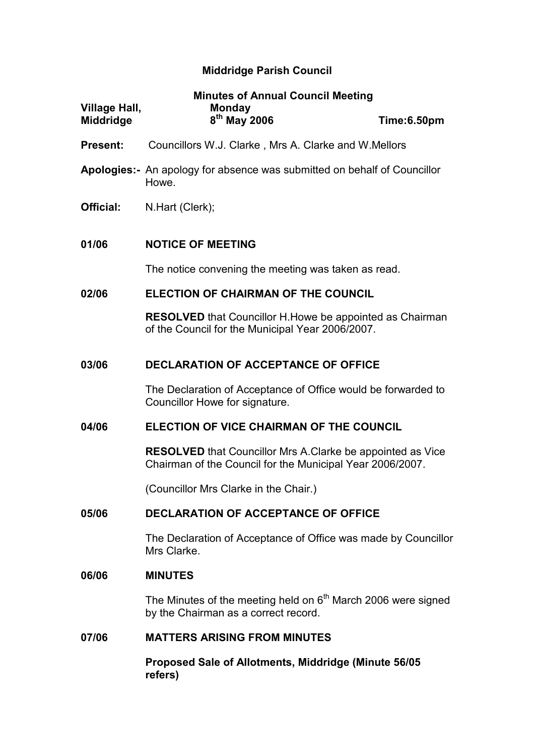# Middridge Parish Council

| Village Hall,    | <b>Minutes of Annual Council Meeting</b><br><b>Monday</b>                                                                       |             |  |
|------------------|---------------------------------------------------------------------------------------------------------------------------------|-------------|--|
| <b>Middridge</b> | 8 <sup>th</sup> May 2006                                                                                                        | Time:6.50pm |  |
| <b>Present:</b>  | Councillors W.J. Clarke, Mrs A. Clarke and W.Mellors                                                                            |             |  |
|                  | <b>Apologies:</b> An apology for absence was submitted on behalf of Councillor<br>Howe.                                         |             |  |
| Official:        | N.Hart (Clerk);                                                                                                                 |             |  |
| 01/06            | <b>NOTICE OF MEETING</b>                                                                                                        |             |  |
|                  | The notice convening the meeting was taken as read.                                                                             |             |  |
| 02/06            | <b>ELECTION OF CHAIRMAN OF THE COUNCIL</b>                                                                                      |             |  |
|                  | <b>RESOLVED</b> that Councillor H. Howe be appointed as Chairman<br>of the Council for the Municipal Year 2006/2007.            |             |  |
| 03/06            | <b>DECLARATION OF ACCEPTANCE OF OFFICE</b>                                                                                      |             |  |
|                  | The Declaration of Acceptance of Office would be forwarded to<br>Councillor Howe for signature.                                 |             |  |
| 04/06            | ELECTION OF VICE CHAIRMAN OF THE COUNCIL                                                                                        |             |  |
|                  | <b>RESOLVED</b> that Councillor Mrs A. Clarke be appointed as Vice<br>Chairman of the Council for the Municipal Year 2006/2007. |             |  |
|                  | (Councillor Mrs Clarke in the Chair.)                                                                                           |             |  |
| 05/06            | DECLARATION OF ACCEPTANCE OF OFFICE                                                                                             |             |  |
|                  | The Declaration of Acceptance of Office was made by Councillor<br>Mrs Clarke.                                                   |             |  |
| 06/06            | <b>MINUTES</b>                                                                                                                  |             |  |
|                  | The Minutes of the meeting held on $6th$ March 2006 were signed<br>by the Chairman as a correct record.                         |             |  |
| 07/06            | <b>MATTERS ARISING FROM MINUTES</b>                                                                                             |             |  |
|                  | Proposed Sale of Allotments, Middridge (Minute 56/05<br>refers)                                                                 |             |  |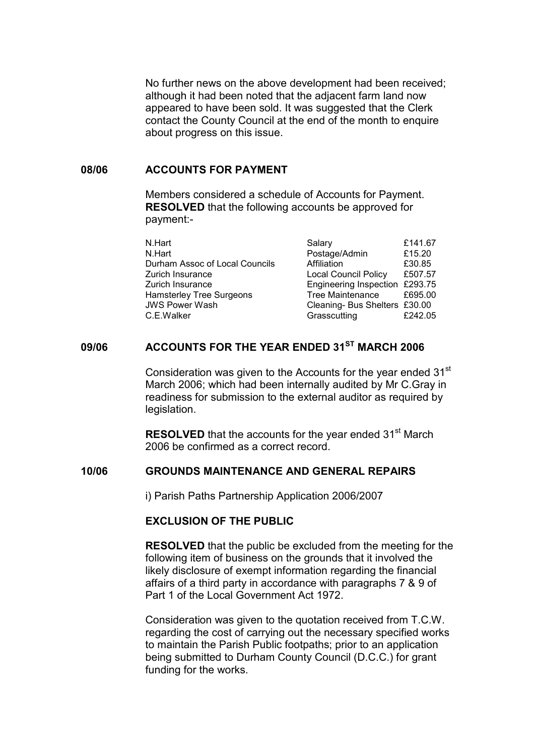No further news on the above development had been received; although it had been noted that the adjacent farm land now appeared to have been sold. It was suggested that the Clerk contact the County Council at the end of the month to enquire about progress on this issue.

#### 08/06 ACCOUNTS FOR PAYMENT

Members considered a schedule of Accounts for Payment. RESOLVED that the following accounts be approved for payment:-

| N.Hart                         | Salary                         | £141.67 |
|--------------------------------|--------------------------------|---------|
| N.Hart                         | Postage/Admin                  | £15.20  |
| Durham Assoc of Local Councils | Affiliation                    | £30.85  |
| Zurich Insurance               | <b>Local Council Policy</b>    | £507.57 |
| Zurich Insurance               | Engineering Inspection £293.75 |         |
| Hamsterley Tree Surgeons       | <b>Tree Maintenance</b>        | £695.00 |
| <b>JWS Power Wash</b>          | Cleaning- Bus Shelters £30.00  |         |
| C.E.Walker                     | Grasscutting                   | £242.05 |

## 09/06 ACCOUNTS FOR THE YEAR ENDED 31<sup>ST</sup> MARCH 2006

Consideration was given to the Accounts for the year ended 31<sup>st</sup> March 2006; which had been internally audited by Mr C.Gray in readiness for submission to the external auditor as required by legislation.

**RESOLVED** that the accounts for the year ended 31<sup>st</sup> March 2006 be confirmed as a correct record.

## 10/06 GROUNDS MAINTENANCE AND GENERAL REPAIRS

i) Parish Paths Partnership Application 2006/2007

#### EXCLUSION OF THE PUBLIC

RESOLVED that the public be excluded from the meeting for the following item of business on the grounds that it involved the likely disclosure of exempt information regarding the financial affairs of a third party in accordance with paragraphs 7 & 9 of Part 1 of the Local Government Act 1972.

Consideration was given to the quotation received from T.C.W. regarding the cost of carrying out the necessary specified works to maintain the Parish Public footpaths; prior to an application being submitted to Durham County Council (D.C.C.) for grant funding for the works.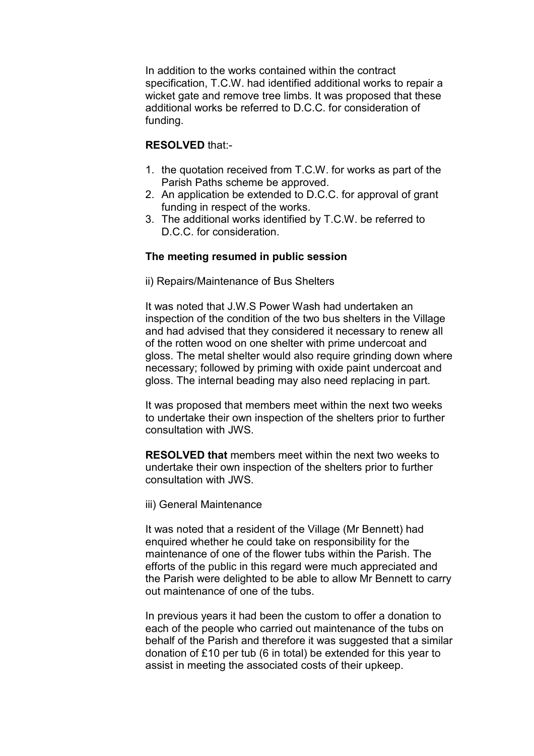In addition to the works contained within the contract specification, T.C.W. had identified additional works to repair a wicket gate and remove tree limbs. It was proposed that these additional works be referred to D.C.C. for consideration of funding.

## RESOLVED that:-

- 1. the quotation received from T.C.W. for works as part of the Parish Paths scheme be approved.
- 2. An application be extended to D.C.C. for approval of grant funding in respect of the works.
- 3. The additional works identified by T.C.W. be referred to D.C.C. for consideration.

## The meeting resumed in public session

ii) Repairs/Maintenance of Bus Shelters

It was noted that J.W.S Power Wash had undertaken an inspection of the condition of the two bus shelters in the Village and had advised that they considered it necessary to renew all of the rotten wood on one shelter with prime undercoat and gloss. The metal shelter would also require grinding down where necessary; followed by priming with oxide paint undercoat and gloss. The internal beading may also need replacing in part.

It was proposed that members meet within the next two weeks to undertake their own inspection of the shelters prior to further consultation with JWS.

RESOLVED that members meet within the next two weeks to undertake their own inspection of the shelters prior to further consultation with JWS.

iii) General Maintenance

It was noted that a resident of the Village (Mr Bennett) had enquired whether he could take on responsibility for the maintenance of one of the flower tubs within the Parish. The efforts of the public in this regard were much appreciated and the Parish were delighted to be able to allow Mr Bennett to carry out maintenance of one of the tubs.

In previous years it had been the custom to offer a donation to each of the people who carried out maintenance of the tubs on behalf of the Parish and therefore it was suggested that a similar donation of £10 per tub (6 in total) be extended for this year to assist in meeting the associated costs of their upkeep.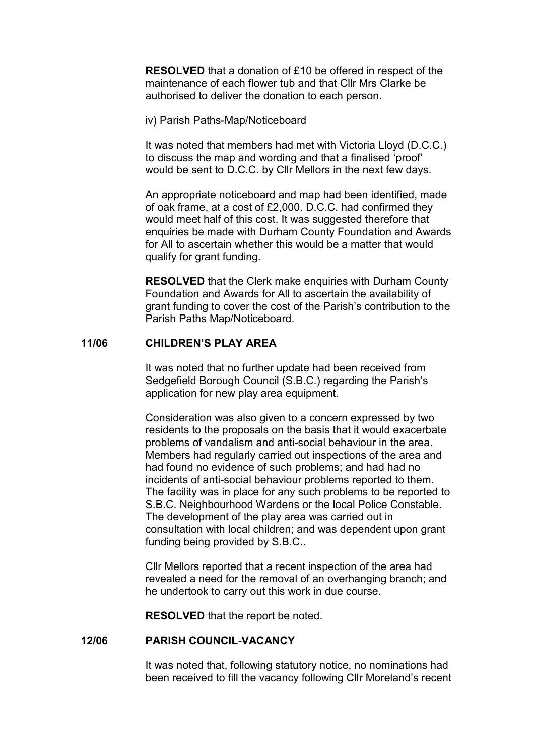RESOLVED that a donation of £10 be offered in respect of the maintenance of each flower tub and that Cllr Mrs Clarke be authorised to deliver the donation to each person.

iv) Parish Paths-Map/Noticeboard

It was noted that members had met with Victoria Lloyd (D.C.C.) to discuss the map and wording and that a finalised 'proof' would be sent to D.C.C. by Cllr Mellors in the next few days.

An appropriate noticeboard and map had been identified, made of oak frame, at a cost of £2,000. D.C.C. had confirmed they would meet half of this cost. It was suggested therefore that enquiries be made with Durham County Foundation and Awards for All to ascertain whether this would be a matter that would qualify for grant funding.

**RESOLVED** that the Clerk make enquiries with Durham County Foundation and Awards for All to ascertain the availability of grant funding to cover the cost of the Parish's contribution to the Parish Paths Map/Noticeboard.

## 11/06 CHILDREN'S PLAY AREA

It was noted that no further update had been received from Sedgefield Borough Council (S.B.C.) regarding the Parish's application for new play area equipment.

Consideration was also given to a concern expressed by two residents to the proposals on the basis that it would exacerbate problems of vandalism and anti-social behaviour in the area. Members had regularly carried out inspections of the area and had found no evidence of such problems; and had had no incidents of anti-social behaviour problems reported to them. The facility was in place for any such problems to be reported to S.B.C. Neighbourhood Wardens or the local Police Constable. The development of the play area was carried out in consultation with local children; and was dependent upon grant funding being provided by S.B.C..

Cllr Mellors reported that a recent inspection of the area had revealed a need for the removal of an overhanging branch; and he undertook to carry out this work in due course.

RESOLVED that the report be noted.

#### 12/06 PARISH COUNCIL-VACANCY

 It was noted that, following statutory notice, no nominations had been received to fill the vacancy following Cllr Moreland's recent